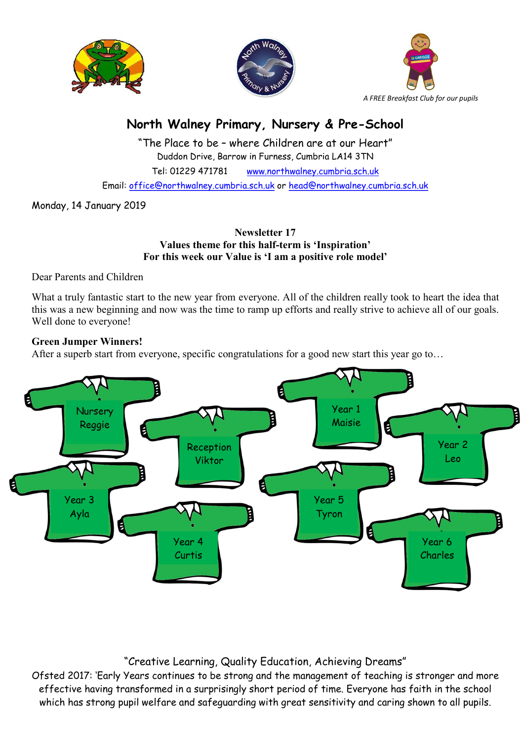





# North Walney Primary, Nursery & Pre-School

"The Place to be – where Children are at our Heart" Duddon Drive, Barrow in Furness, Cumbria LA14 3TN Tel: 01229 471781 www.northwalney.cumbria.sch.uk Email: office@northwalney.cumbria.sch.uk or head@northwalney.cumbria.sch.uk

Monday, 14 January 2019

## Newsletter 17 Values theme for this half-term is 'Inspiration' For this week our Value is 'I am a positive role model'

Dear Parents and Children

What a truly fantastic start to the new year from everyone. All of the children really took to heart the idea that this was a new beginning and now was the time to ramp up efforts and really strive to achieve all of our goals. Well done to everyone!

## Green Jumper Winners!

After a superb start from everyone, specific congratulations for a good new start this year go to...



## "Creative Learning, Quality Education, Achieving Dreams"

Ofsted 2017: 'Early Years continues to be strong and the management of teaching is stronger and more effective having transformed in a surprisingly short period of time. Everyone has faith in the school which has strong pupil welfare and safeguarding with great sensitivity and caring shown to all pupils.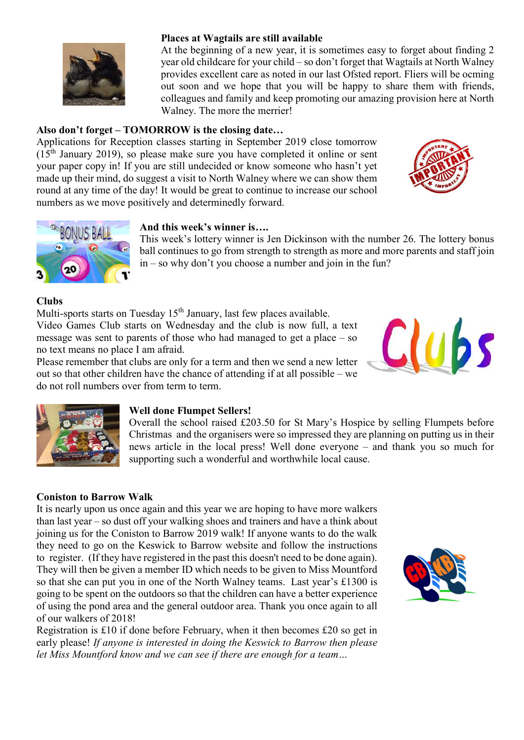

#### Places at Wagtails are still available

At the beginning of a new year, it is sometimes easy to forget about finding 2 year old childcare for your child – so don't forget that Wagtails at North Walney provides excellent care as noted in our last Ofsted report. Fliers will be ocming out soon and we hope that you will be happy to share them with friends, colleagues and family and keep promoting our amazing provision here at North Walney. The more the merrier!

## Also don't forget – TOMORROW is the closing date…

Applications for Reception classes starting in September 2019 close tomorrow  $(15<sup>th</sup> January 2019)$ , so please make sure you have completed it online or sent your paper copy in! If you are still undecided or know someone who hasn't yet made up their mind, do suggest a visit to North Walney where we can show them round at any time of the day! It would be great to continue to increase our school numbers as we move positively and determinedly forward.





## And this week's winner is….

This week's lottery winner is Jen Dickinson with the number 26. The lottery bonus ball continues to go from strength to strength as more and more parents and staff join in – so why don't you choose a number and join in the fun?

## Clubs

Multi-sports starts on Tuesday  $15<sup>th</sup>$  January, last few places available. Video Games Club starts on Wednesday and the club is now full, a text message was sent to parents of those who had managed to get a place – so no text means no place I am afraid.

Please remember that clubs are only for a term and then we send a new letter out so that other children have the chance of attending if at all possible – we do not roll numbers over from term to term.





#### Well done Flumpet Sellers!

Overall the school raised £203.50 for St Mary's Hospice by selling Flumpets before Christmas and the organisers were so impressed they are planning on putting us in their news article in the local press! Well done everyone – and thank you so much for supporting such a wonderful and worthwhile local cause.

## Coniston to Barrow Walk

It is nearly upon us once again and this year we are hoping to have more walkers than last year – so dust off your walking shoes and trainers and have a think about joining us for the Coniston to Barrow 2019 walk! If anyone wants to do the walk they need to go on the Keswick to Barrow website and follow the instructions to register. (If they have registered in the past this doesn't need to be done again). They will then be given a member ID which needs to be given to Miss Mountford so that she can put you in one of the North Walney teams. Last year's £1300 is going to be spent on the outdoors so that the children can have a better experience of using the pond area and the general outdoor area. Thank you once again to all of our walkers of 2018!

Registration is £10 if done before February, when it then becomes £20 so get in early please! If anyone is interested in doing the Keswick to Barrow then please let Miss Mountford know and we can see if there are enough for a team…